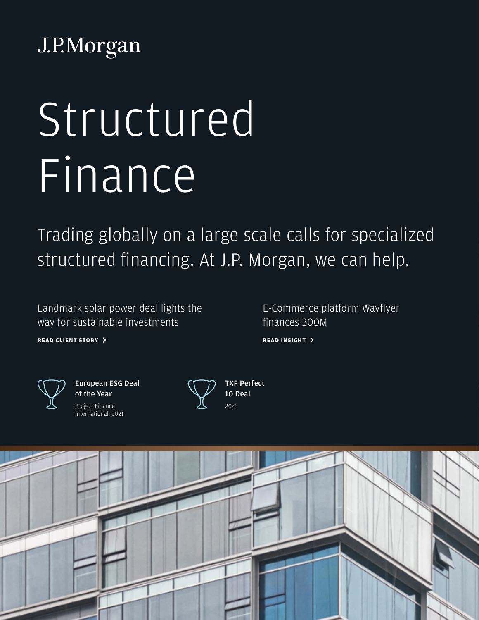## J.P.Morgan

# Structured Finance

Trading globally on a large scale calls for specialized structured financing. At J.P. Morgan, we can help.

Landmark solar power deal lights the way for sustainable investments

E-Commerce platform Wayflyer finances 300M

**READ CLIENT STORY READ INSIGHT**



European ESG Deal of the Year Project Finance International, 2021



TXF Perfect 10 Deal 2021

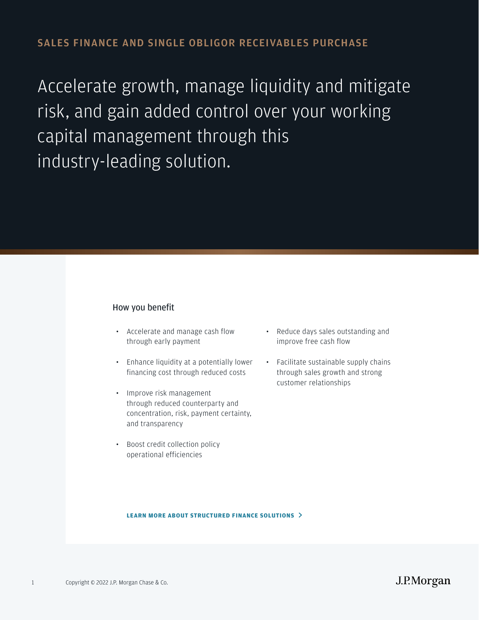Accelerate growth, manage liquidity and mitigate risk, and gain added control over your working capital management through this industry-leading solution.

#### How you benefit

- Accelerate and manage cash flow through early payment
- Enhance liquidity at a potentially lower financing cost through reduced costs
- Improve risk management through reduced counterparty and concentration, risk, payment certainty, and transparency
- Boost credit collection policy operational efficiencies
- Reduce days sales outstanding and improve free cash flow
- Facilitate sustainable supply chains through sales growth and strong customer relationships

**LEARN MORE ABOUT STRUCTURED FINANCE SOLUTIONS**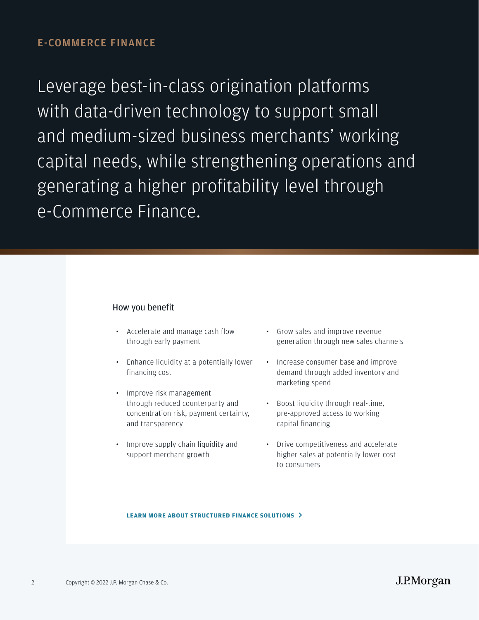Leverage best-in-class origination platforms with data-driven technology to support small and medium-sized business merchants' working capital needs, while strengthening operations and generating a higher profitability level through e-Commerce Finance.

#### How you benefit

- Accelerate and manage cash flow through early payment
- Enhance liquidity at a potentially lower financing cost
- Improve risk management through reduced counterparty and concentration risk, payment certainty, and transparency
- Improve supply chain liquidity and support merchant growth
- Grow sales and improve revenue generation through new sales channels
- Increase consumer base and improve demand through added inventory and marketing spend
- Boost liquidity through real-time, pre-approved access to working capital financing
- Drive competitiveness and accelerate higher sales at potentially lower cost to consumers

#### **LEARN MORE ABOUT STRUCTURED FINANCE SOLUTIONS**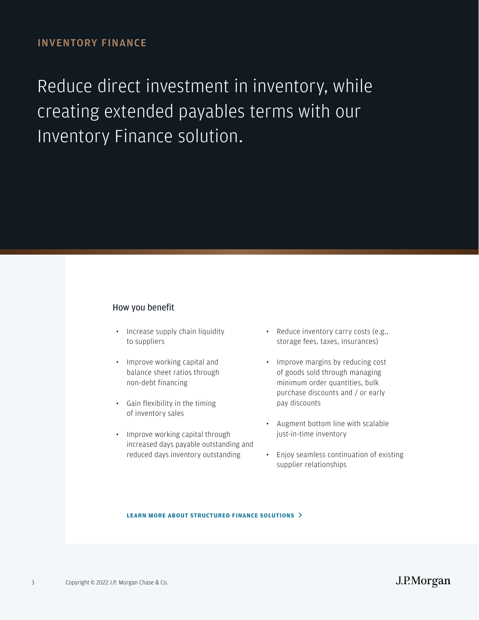Reduce direct investment in inventory, while creating extended payables terms with our Inventory Finance solution.

#### How you benefit

- Increase supply chain liquidity to suppliers
- Improve working capital and balance sheet ratios through non-debt financing
- Gain flexibility in the timing of inventory sales
- Improve working capital through increased days payable outstanding and reduced days inventory outstanding
- Reduce inventory carry costs (e.g., storage fees, taxes, insurances)
- Improve margins by reducing cost of goods sold through managing minimum order quantities, bulk purchase discounts and / or early pay discounts
- Augment bottom line with scalable just-in-time inventory
- Enjoy seamless continuation of existing supplier relationships

#### **LEARN MORE ABOUT STRUCTURED FINANCE SOLUTIONS**